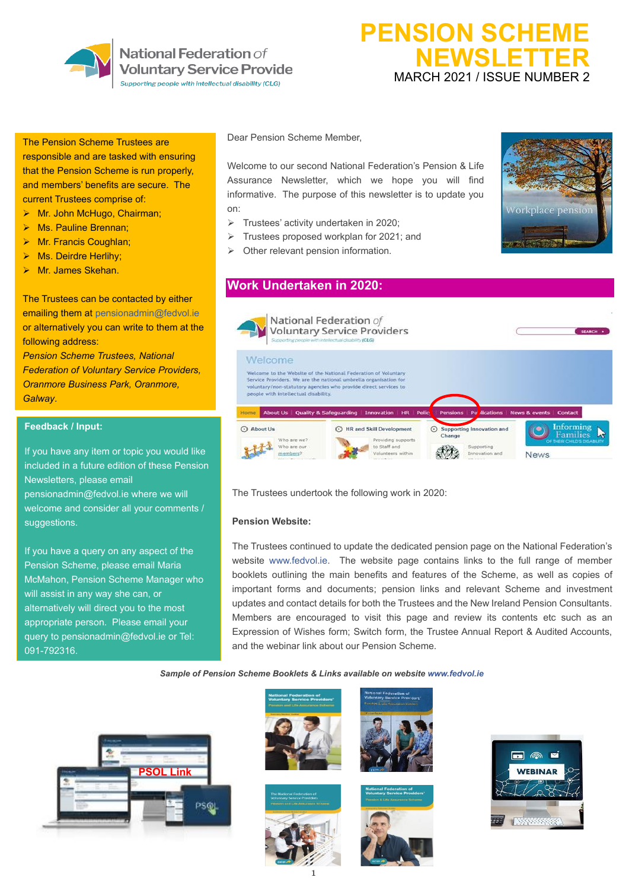

National Federation of **Voluntary Service Provide** 

Supporting people with intellectual disability (CLG)

# **PENSION SCHEME NEWSLETTER** MARCH 2021 / ISSUE NUMBER 2

#### The Pension Scheme Trustees are

responsible and are tasked with ensuring that the Pension Scheme is run properly, and members' benefits are secure. The current Trustees comprise of:

- ➢ Mr. John McHugo, Chairman;
- ➢ Ms. Pauline Brennan;
- ➢ Mr. Francis Coughlan;
- Ms. Deirdre Herlihy;
- ➢ Mr. James Skehan.

The Trustees can be contacted by either emailing them at [pensionadmin@fedvol.ie](mailto:pensionadmin@fedvol.ie) or alternatively you can write to them at the following address:

*Pension Scheme Trustees, National Federation of Voluntary Service Providers, Oranmore Business Park, Oranmore, Galway*.

### **Feedback / Input:**

If you have any item or topic you would like included in a future edition of these Pension Newsletters, please email [pensionadmin@fedvol.ie](mailto:pensionadmin@fedvol.ie) where we will welcome and consider all your comments / suggestions.

If you have a query on any aspect of the Pension Scheme, please email Maria McMahon, Pension Scheme Manager who will assist in any way she can, or alternatively will direct you to the most appropriate person. Please email your query to [pensionadmin@fedvol.ie](mailto:pensionadmin@fedvol.ie) or Tel: 091-792316.

Dear Pension Scheme Member,

Welcome to our second National Federation's Pension & Life Assurance Newsletter, which we hope you will find informative. The purpose of this newsletter is to update you on:

- ➢ Trustees' activity undertaken in 2020;
- ➢ Trustees proposed workplan for 2021; and
- $\triangleright$  Other relevant pension information.



# **Work Undertaken in 2020:**



The Trustees undertook the following work in 2020:

### **Pension Website:**

The Trustees continued to update the dedicated pension page on the National Federation's website [www.fedvol.ie.](http://www.fedvol.ie/) The website page contains links to the full range of member booklets outlining the main benefits and features of the Scheme, as well as copies of important forms and documents; pension links and relevant Scheme and investment updates and contact details for both the Trustees and the New Ireland Pension Consultants. Members are encouraged to visit this page and review its contents etc such as an Expression of Wishes form; Switch form, the Trustee Annual Report & Audited Accounts, and the webinar link about our Pension Scheme.

#### *Sample of Pension Scheme Booklets & Links available on website [www.fedvol.ie](http://www.fedvol.ie/)*











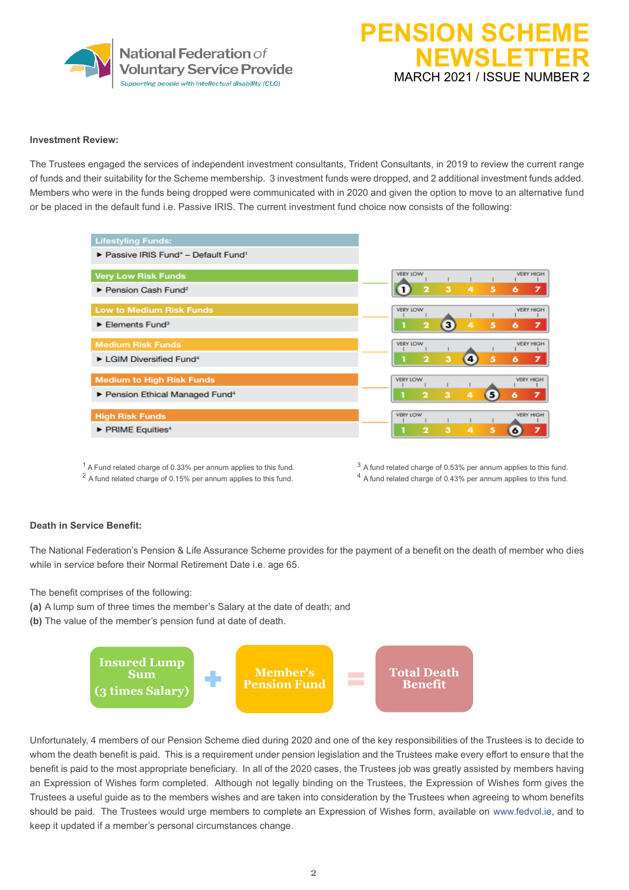

# **PENSION SCHEM NEWSLETTER** MARCH 2021 / ISSUE NUMBER 2

#### **Investment Review:**

The Trustees engaged the services of independent investment consultants, Trident Consultants, in 2019 to review the current range of funds and their suitability for the Scheme membership. 3 investment funds were dropped, and 2 additional investment funds added. Members who were in the funds being dropped were communicated with in 2020 and given the option to move to an alternative fund or be placed in the default fund i.e. Passive IRIS. The current investment fund choice now consists of the following:

| <b>Lifestyling Funds:</b>                            |                              |   |                   |                         |   |                  |
|------------------------------------------------------|------------------------------|---|-------------------|-------------------------|---|------------------|
| Passive IRIS Fund* - Default Fund <sup>1</sup>       |                              |   |                   |                         |   |                  |
| <b>Very Low Risk Funds</b>                           | <b>VERY LOW</b>              |   |                   |                         |   | <b>VERY HIGH</b> |
| $\blacktriangleright$ Pension Cash Fund <sup>2</sup> | $\overline{\mathbf{2}}$<br>1 | 3 | 4                 | $\overline{\mathbf{5}}$ | 6 | $\overline{ }$   |
| <b>Low to Medium Risk Funds</b>                      | <b>VERY LOW</b>              |   |                   |                         |   | <b>VERY HIGH</b> |
| $\blacktriangleright$ Elements Fund <sup>3</sup>     | $\overline{\mathbf{2}}$      | в | 4                 | 5                       | 6 | $\overline{ }$   |
| <b>Medium Risk Funds</b>                             | <b>VERY LOW</b>              |   |                   |                         |   | <b>VERY HIGH</b> |
| LGIM Diversified Fund <sup>4</sup>                   | $\overline{\mathbf{2}}$      | 3 | $\left( 4\right)$ | 5                       | 6 | 7                |
| <b>Medium to High Risk Funds</b>                     | <b>VERY LOW</b>              |   |                   |                         |   | <b>VERY HIGH</b> |
| Pension Ethical Managed Fund <sup>4</sup>            | $\overline{\mathbf{2}}$      | 3 | 4                 | 6)                      | 6 | 7                |
| <b>High Risk Funds</b>                               | <b>VERY LOW</b>              |   |                   |                         |   | <b>VERY HIGH</b> |
| $\triangleright$ PRIME Equities <sup>4</sup>         | $\overline{\mathbf{2}}$      | з | 4                 | 5                       | 6 |                  |
|                                                      |                              |   |                   |                         |   |                  |

 $2$  A fund related charge of 0.15% per annum applies to this fund.  $4$  A fund related charge of 0.43% per annum applies to this fund.

#### **Death in Service Benefit:**

The National Federation's Pension & Life Assurance Scheme provides for the payment of a benefit on the death of member who dies while in service before their Normal Retirement Date i.e. age 65.

The benefit comprises of the following:

- **(a)** A lump sum of three times the member's Salary at the date of death; and
- **(b)** The value of the member's pension fund at date of death.



Unfortunately, 4 members of our Pension Scheme died during 2020 and one of the key responsibilities of the Trustees is to decide to whom the death benefit is paid. This is a requirement under pension legislation and the Trustees make every effort to ensure that the benefit is paid to the most appropriate beneficiary. In all of the 2020 cases, the Trustees job was greatly assisted by members having an Expression of Wishes form completed. Although not legally binding on the Trustees, the Expression of Wishes form gives the Trustees a useful guide as to the members wishes and are taken into consideration by the Trustees when agreeing to whom benefits should be paid. The Trustees would urge members to complete an Expression of Wishes form, available on [www.fedvol.ie,](http://www.fedvol.ie/) and to keep it updated if a member's personal circumstances change.

 $1$  A Fund related charge of 0.33% per annum applies to this fund.  $3$  A fund related charge of 0.53% per annum applies to this fund.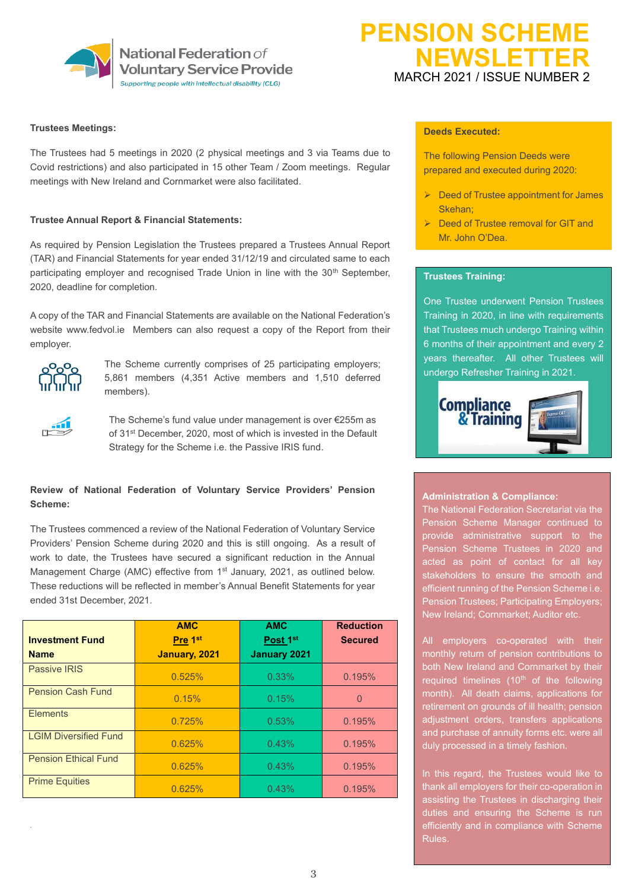

### **Trustees Meetings:**

The Trustees had 5 meetings in 2020 (2 physical meetings and 3 via Teams due to Covid restrictions) and also participated in 15 other Team / Zoom meetings. Regular meetings with New Ireland and Cornmarket were also facilitated.

#### **Trustee Annual Report & Financial Statements:**

As required by Pension Legislation the Trustees prepared a Trustees Annual Report (TAR) and Financial Statements for year ended 31/12/19 and circulated same to each participating employer and recognised Trade Union in line with the  $30<sup>th</sup>$  September, 2020, deadline for completion.

A copy of the TAR and Financial Statements are available on the National Federation's website [www.fedvol.ie](http://www.fedvol.ie/) Members can also request a copy of the Report from their employer.



The Scheme currently comprises of 25 participating employers; 5,861 members (4,351 Active members and 1,510 deferred members).



The Scheme's fund value under management is over €255m as of 31st December, 2020, most of which is invested in the Default Strategy for the Scheme i.e. the Passive IRIS fund.

### **Review of National Federation of Voluntary Service Providers' Pension Scheme:**

The Trustees commenced a review of the National Federation of Voluntary Service Providers' Pension Scheme during 2020 and this is still ongoing. As a result of work to date, the Trustees have secured a significant reduction in the Annual Management Charge (AMC) effective from 1<sup>st</sup> January, 2021, as outlined below. These reductions will be reflected in member's Annual Benefit Statements for year ended 31st December, 2021.

| <b>Investment Fund</b>       | <b>AMC</b><br>Pre 1 <sup>st</sup> | <b>AMC</b><br>Post 1st | <b>Reduction</b><br><b>Secured</b> |  |
|------------------------------|-----------------------------------|------------------------|------------------------------------|--|
| <b>Name</b>                  | January, 2021                     | <b>January 2021</b>    |                                    |  |
| <b>Passive IRIS</b>          | 0.525%                            | 0.33%                  | 0.195%                             |  |
| <b>Pension Cash Fund</b>     | 0.15%                             | 0.15%                  | $\Omega$                           |  |
| <b>Elements</b>              | 0.725%                            | 0.53%                  | 0.195%                             |  |
| <b>LGIM Diversified Fund</b> | 0.625%                            | 0.43%                  | 0.195%                             |  |
| <b>Pension Ethical Fund</b>  | 0.625%                            | 0.43%                  | 0.195%                             |  |
| <b>Prime Equities</b>        | 0.625%                            | 0.43%                  | 0.195%                             |  |

# **PENSION SCHEM NEWSLETTER** MARCH 2021 / ISSUE NUMBER 2

## **Deeds Executed:**

The following Pension Deeds were prepared and executed during 2020:

- ➢ Deed of Trustee appointment for James Skehan;
- ➢ Deed of Trustee removal for GIT and Mr. John O'Dea.

### **Trustees Training:**

One Trustee underwent Pension Trustees Training in 2020, in line with requirements that Trustees much undergo Training within 6 months of their appointment and every 2 years thereafter. All other Trustees will undergo Refresher Training in 2021.



#### **Administration & Compliance:**

The National Federation Secretariat via the Pension Scheme Manager continued to provide administrative support to the Pension Scheme Trustees in 2020 and acted as point of contact for all key stakeholders to ensure the smooth and efficient running of the Pension Scheme i.e. Pension Trustees; Participating Employers; New Ireland; Cornmarket; Auditor etc.

All employers co-operated with their monthly return of pension contributions to both New Ireland and Cornmarket by their required timelines  $(10<sup>th</sup>$  of the following month). All death claims, applications for retirement on grounds of ill health; pension adjustment orders, transfers applications and purchase of annuity forms etc. were all duly processed in a timely fashion.

In this regard, the Trustees would like to thank all employers for their co-operation in assisting the Trustees in discharging their duties and ensuring the Scheme is run efficiently and in compliance with Scheme Rules.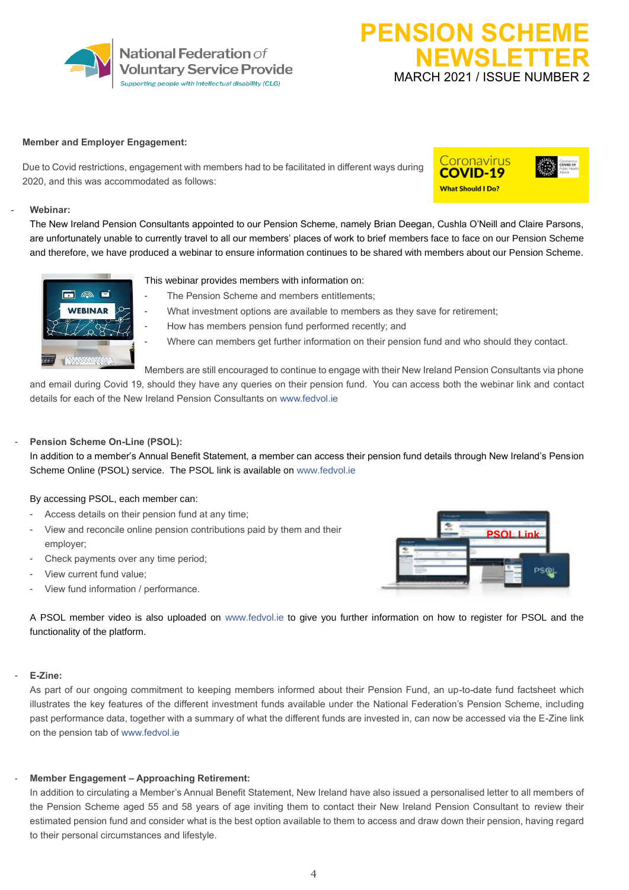

# **PENSION SCHEM NEWSLETTER** MARCH 2021 / ISSUE NUMBER 2

#### **Member and Employer Engagement:**

Due to Covid restrictions, engagement with members had to be facilitated in different ways during 2020, and this was accommodated as follows:

# Coronavirus **COVID-19 What Should I Do?**

#### - **Webinar:**

The New Ireland Pension Consultants appointed to our Pension Scheme, namely Brian Deegan, Cushla O'Neill and Claire Parsons, are unfortunately unable to currently travel to all our members' places of work to brief members face to face on our Pension Scheme and therefore, we have produced a webinar to ensure information continues to be shared with members about our Pension Scheme.



This webinar provides members with information on:

- The Pension Scheme and members entitlements;
	- What investment options are available to members as they save for retirement;
- How has members pension fund performed recently; and
	- Where can members get further information on their pension fund and who should they contact.

Members are still encouraged to continue to engage with their New Ireland Pension Consultants via phone and email during Covid 19, should they have any queries on their pension fund. You can access both the webinar link and contact details for each of the New Ireland Pension Consultants on [www.fedvol.ie](http://www.fedvol.ie/) 

### Pension Scheme On-Line (PSOL):

In addition to a member's Annual Benefit Statement, a member can access their pension fund details through New Ireland's Pension Scheme Online [\(PSOL\)](https://www.nipensionschemesonline.ie/psol/app/public/login?execution=e2s1) service. The PSOL link is available on [www.fedvol.ie](http://www.fedvol.ie/)

#### By accessing PSOL, each member can:

- Access details on their pension fund at any time;
- View and reconcile online pension contributions paid by them and their employer;
- Check payments over any time period;
- View current fund value:
- View fund information / performance.



A PSOL member video is also uploaded on [www.fedvol.ie](http://www.fedvol.ie/) to give you further information on how to register for PSOL and the functionality of the platform.

#### - **E-Zine:**

As part of our ongoing commitment to keeping members informed about their Pension Fund, an up-to-date fund factsheet which illustrates the key features of the different investment funds available under the National Federation's Pension Scheme, including past performance data, together with a summary of what the different funds are invested in, can now be accessed via the E-Zine link on the pension tab of [www.fedvol.ie](http://www.fedvol.ie/) 

#### - **Member Engagement – Approaching Retirement:**

In addition to circulating a Member's Annual Benefit Statement, New Ireland have also issued a personalised letter to all members of the Pension Scheme aged 55 and 58 years of age inviting them to contact their New Ireland Pension Consultant to review their estimated pension fund and consider what is the best option available to them to access and draw down their pension, having regard to their personal circumstances and lifestyle.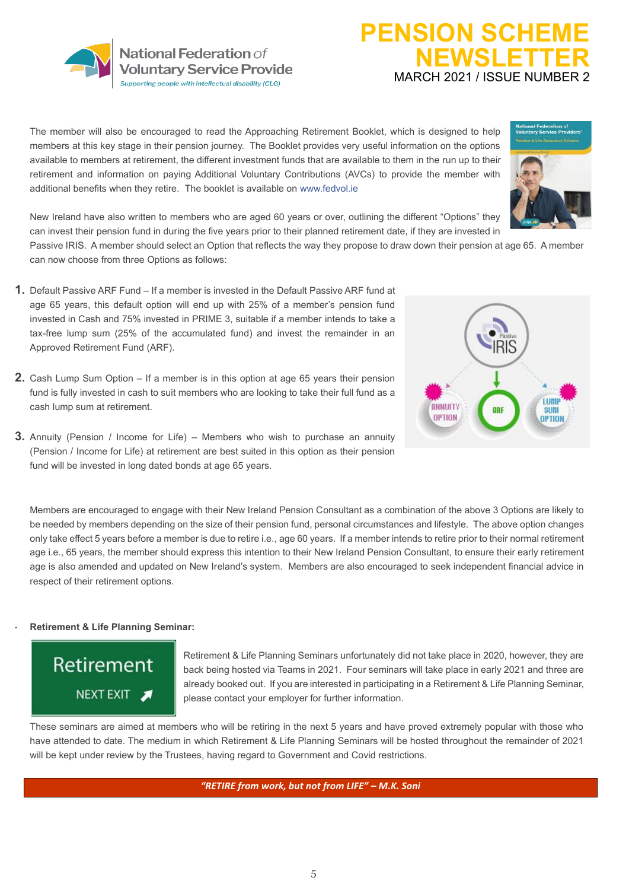

## The member will also be encouraged to read the Approaching Retirement Booklet, which is designed to help members at this key stage in their pension journey. The Booklet provides very useful information on the options available to members at retirement, the different investment funds that are available to them in the run up to their retirement and information on paying Additional Voluntary Contributions (AVCs) to provide the member with additional benefits when they retire. The booklet is available on [www.fedvol.ie](http://www.fedvol.ie/)



New Ireland have also written to members who are aged 60 years or over, outlining the different "Options" they can invest their pension fund in during the five years prior to their planned retirement date, if they are invested in

Passive IRIS. A member should select an Option that reflects the way they propose to draw down their pension at age 65. A member can now choose from three Options as follows:

- **1.** Default Passive ARF Fund If a member is invested in the Default Passive ARF fund at age 65 years, this default option will end up with 25% of a member's pension fund invested in Cash and 75% invested in PRIME 3, suitable if a member intends to take a tax-free lump sum (25% of the accumulated fund) and invest the remainder in an Approved Retirement Fund (ARF).
- **2.** Cash Lump Sum Option If a member is in this option at age 65 years their pension fund is fully invested in cash to suit members who are looking to take their full fund as a cash lump sum at retirement.
- **3.** Annuity (Pension / Income for Life) Members who wish to purchase an annuity (Pension / Income for Life) at retirement are best suited in this option as their pension fund will be invested in long dated bonds at age 65 years.



**PENSION SCHEM** 

**NEWSLETTER**

MARCH 2021 / ISSUE NUMBER 2

Members are encouraged to engage with their New Ireland Pension Consultant as a combination of the above 3 Options are likely to be needed by members depending on the size of their pension fund, personal circumstances and lifestyle. The above option changes only take effect 5 years before a member is due to retire i.e., age 60 years. If a member intends to retire prior to their normal retirement age i.e., 65 years, the member should express this intention to their New Ireland Pension Consultant, to ensure their early retirement age is also amended and updated on New Ireland's system. Members are also encouraged to seek independent financial advice in respect of their retirement options.

#### - **Retirement & Life Planning Seminar:**



Retirement & Life Planning Seminars unfortunately did not take place in 2020, however, they are back being hosted via Teams in 2021. Four seminars will take place in early 2021 and three are already booked out. If you are interested in participating in a Retirement & Life Planning Seminar, please contact your employer for further information.

These seminars are aimed at members who will be retiring in the next 5 years and have proved extremely popular with those who have attended to date. The medium in which Retirement & Life Planning Seminars will be hosted throughout the remainder of 2021 will be kept under review by the Trustees, having regard to Government and Covid restrictions.

*"RETIRE from work, but not from LIFE" – M.K. Soni*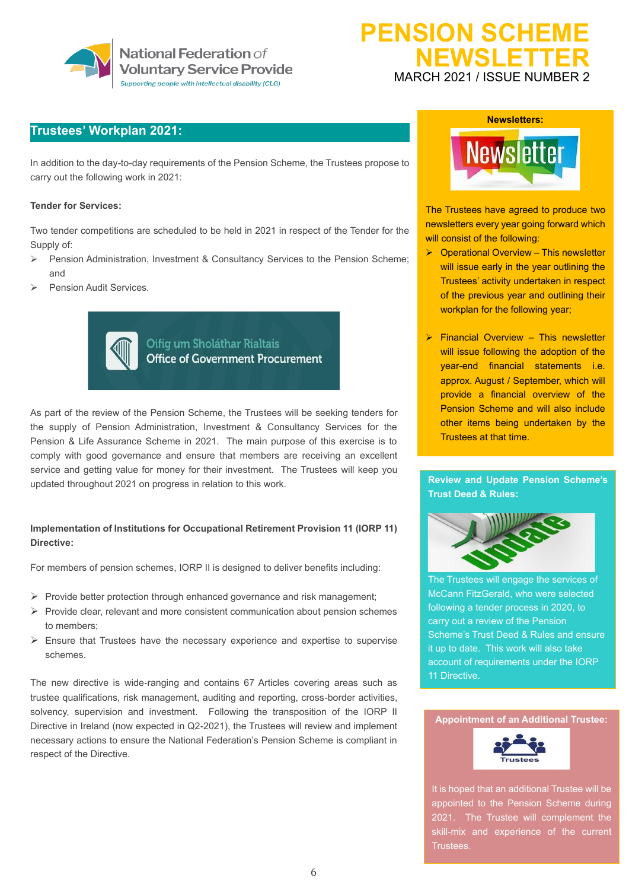

# **PENSION SCHEME NEWSLETTER** MARCH 2021 / ISSUE NUMBER 2

## **Trustees' Workplan 2021:**

In addition to the day-to-day requirements of the Pension Scheme, the Trustees propose to carry out the following work in 2021:

#### **Tender for Services:**

Two tender competitions are scheduled to be held in 2021 in respect of the Tender for the Supply of:

- ➢ Pension Administration, Investment & Consultancy Services to the Pension Scheme; and
- Pension Audit Services.



Oifig um Sholáthar Rialtais **Office of Government Procurement** 

As part of the review of the Pension Scheme, the Trustees will be seeking tenders for the supply of Pension Administration, Investment & Consultancy Services for the Pension & Life Assurance Scheme in 2021. The main purpose of this exercise is to comply with good governance and ensure that members are receiving an excellent service and getting value for money for their investment. The Trustees will keep you updated throughout 2021 on progress in relation to this work.

### **Implementation of Institutions for Occupational Retirement Provision 11 (IORP 11) Directive:**

For members of pension schemes, IORP II is designed to deliver benefits including:

- ➢ Provide better protection through enhanced governance and risk management;
- ➢ Provide clear, relevant and more consistent communication about pension schemes to members;
- $\triangleright$  Ensure that Trustees have the necessary experience and expertise to supervise schemes.

The new directive is wide-ranging and contains 67 Articles covering areas such as trustee qualifications, risk management, auditing and reporting, cross-border activities, solvency, supervision and investment. Following the transposition of the IORP II Directive in Ireland (now expected in Q2-2021), the Trustees will review and implement necessary actions to ensure the National Federation's Pension Scheme is compliant in respect of the Directive.



The Trustees have agreed to produce two newsletters every year going forward which will consist of the following:

- ➢ Operational Overview This newsletter will issue early in the year outlining the Trustees' activity undertaken in respect of the previous year and outlining their workplan for the following year;
- ➢ Financial Overview This newsletter will issue following the adoption of the year-end financial statements i.e. approx. August / September, which will provide a financial overview of the Pension Scheme and will also include other items being undertaken by the Trustees at that time.

**Review and Update Pension Scheme's Trust Deed & Rules:** 



The Trustees will engage the services of McCann FitzGerald, who were selected following a tender process in 2020, to carry out a review of the Pension Scheme's Trust Deed & Rules and ensure it up to date. This work will also take account of requirements under the IORP 11 Directive.

#### **Appointment of an Additional Trustee:**



It is hoped that an additional Trustee will be appointed to the Pension Scheme during 2021. The Trustee will complement the skill-mix and experience of the current Trustees.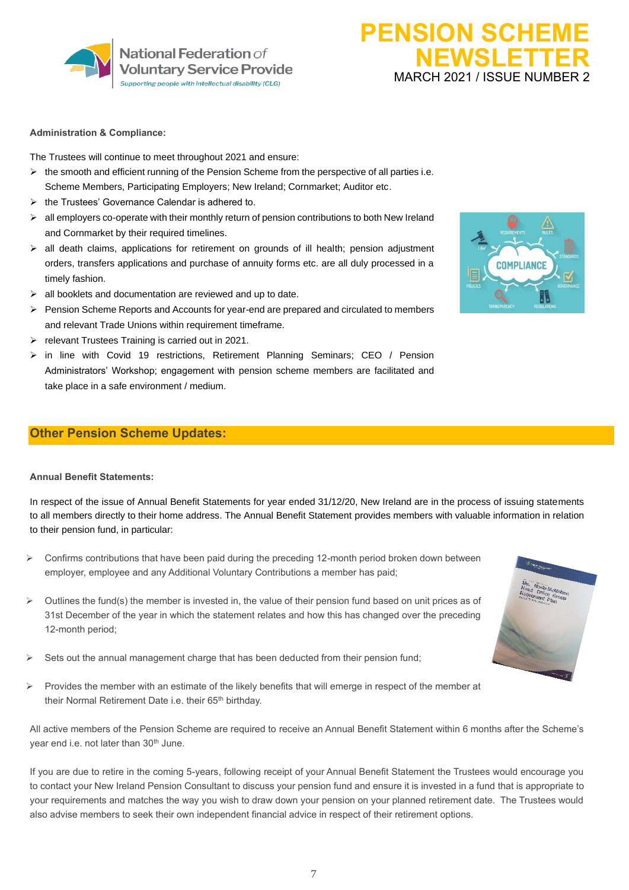

# **PENSION SCHEME NEWSLETTER** MARCH 2021 / ISSUE NUMBER 2

#### **Administration & Compliance:**

The Trustees will continue to meet throughout 2021 and ensure:

- $\triangleright$  the smooth and efficient running of the Pension Scheme from the perspective of all parties i.e. Scheme Members, Participating Employers; New Ireland; Cornmarket; Auditor etc.
- ➢ the Trustees' Governance Calendar is adhered to.
- $\triangleright$  all employers co-operate with their monthly return of pension contributions to both New Ireland and Cornmarket by their required timelines.
- ➢ all death claims, applications for retirement on grounds of ill health; pension adjustment orders, transfers applications and purchase of annuity forms etc. are all duly processed in a timely fashion.
- ➢ all booklets and documentation are reviewed and up to date.
- ➢ Pension Scheme Reports and Accounts for year-end are prepared and circulated to members and relevant Trade Unions within requirement timeframe.
- ➢ relevant Trustees Training is carried out in 2021.
- $\triangleright$  in line with Covid 19 restrictions, Retirement Planning Seminars; CEO / Pension Administrators' Workshop; engagement with pension scheme members are facilitated and take place in a safe environment / medium.

## **Other Pension Scheme Updates:**

## **Annual Benefit Statements:**

In respect of the issue of Annual Benefit Statements for year ended 31/12/20, New Ireland are in the process of issuing statements to all members directly to their home address. The Annual Benefit Statement provides members with valuable information in relation to their pension fund, in particular:

- $\triangleright$  Confirms contributions that have been paid during the preceding 12-month period broken down between employer, employee and any Additional Voluntary Contributions a member has paid;
- $\triangleright$  Outlines the fund(s) the member is invested in, the value of their pension fund based on unit prices as of 31st December of the year in which the statement relates and how this has changed over the preceding 12-month period;
- Sets out the annual management charge that has been deducted from their pension fund;
- $\triangleright$  Provides the member with an estimate of the likely benefits that will emerge in respect of the member at their Normal Retirement Date i.e. their 65<sup>th</sup> birthday.

All active members of the Pension Scheme are required to receive an Annual Benefit Statement within 6 months after the Scheme's year end i.e. not later than 30<sup>th</sup> June.

If you are due to retire in the coming 5-years, following receipt of your Annual Benefit Statement the Trustees would encourage you to contact your New Ireland Pension Consultant to discuss your pension fund and ensure it is invested in a fund that is appropriate to your requirements and matches the way you wish to draw down your pension on your planned retirement date. The Trustees would also advise members to seek their own independent financial advice in respect of their retirement options.